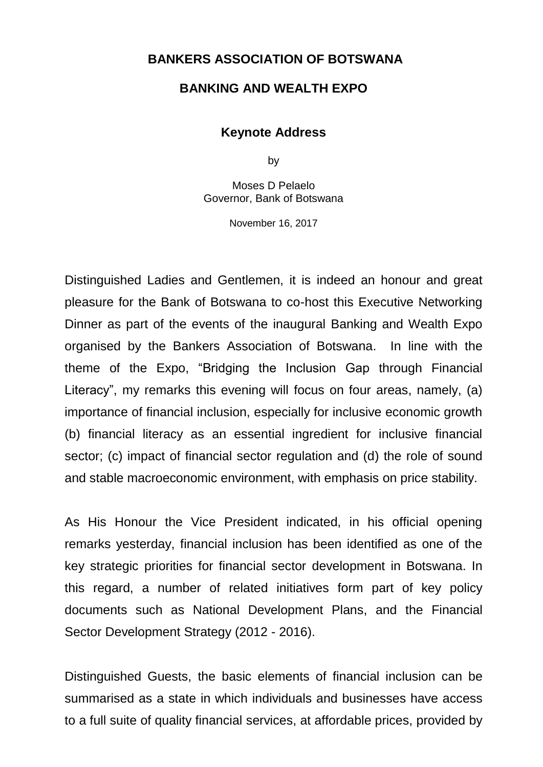## **BANKERS ASSOCIATION OF BOTSWANA**

## **BANKING AND WEALTH EXPO**

## **Keynote Address**

by

Moses D Pelaelo Governor, Bank of Botswana

November 16, 2017

Distinguished Ladies and Gentlemen, it is indeed an honour and great pleasure for the Bank of Botswana to co-host this Executive Networking Dinner as part of the events of the inaugural Banking and Wealth Expo organised by the Bankers Association of Botswana. In line with the theme of the Expo, "Bridging the Inclusion Gap through Financial Literacy", my remarks this evening will focus on four areas, namely, (a) importance of financial inclusion, especially for inclusive economic growth (b) financial literacy as an essential ingredient for inclusive financial sector; (c) impact of financial sector regulation and (d) the role of sound and stable macroeconomic environment, with emphasis on price stability.

As His Honour the Vice President indicated, in his official opening remarks yesterday, financial inclusion has been identified as one of the key strategic priorities for financial sector development in Botswana. In this regard, a number of related initiatives form part of key policy documents such as National Development Plans, and the Financial Sector Development Strategy (2012 - 2016).

Distinguished Guests, the basic elements of financial inclusion can be summarised as a state in which individuals and businesses have access to a full suite of quality financial services, at affordable prices, provided by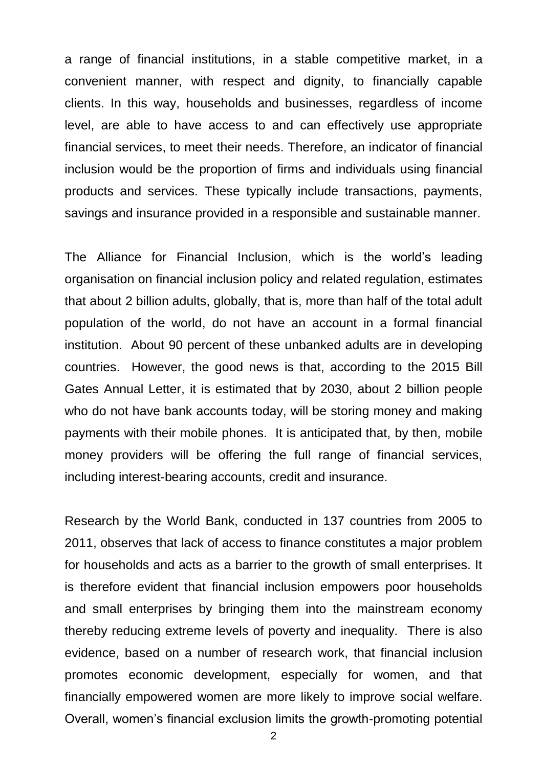a range of financial institutions, in a stable competitive market, in a convenient manner, with respect and dignity, to financially capable clients. In this way, households and businesses, regardless of income level, are able to have access to and can effectively use appropriate financial services, to meet their needs. Therefore, an indicator of financial inclusion would be the proportion of firms and individuals using financial products and services. These typically include transactions, payments, savings and insurance provided in a responsible and sustainable manner.

The Alliance for Financial Inclusion, which is the world's leading organisation on financial inclusion policy and related regulation, estimates that about 2 billion adults, globally, that is, more than half of the total adult population of the world, do not have an account in a formal financial institution. About 90 percent of these unbanked adults are in developing countries. However, the good news is that, according to the 2015 Bill Gates Annual Letter, it is estimated that by 2030, about 2 billion people who do not have bank accounts today, will be storing money and making payments with their mobile phones. It is anticipated that, by then, mobile money providers will be offering the full range of financial services, including interest-bearing accounts, credit and insurance.

Research by the World Bank, conducted in 137 countries from 2005 to 2011, observes that lack of access to finance constitutes a major problem for households and acts as a barrier to the growth of small enterprises. It is therefore evident that financial inclusion empowers poor households and small enterprises by bringing them into the mainstream economy thereby reducing extreme levels of poverty and inequality. There is also evidence, based on a number of research work, that financial inclusion promotes economic development, especially for women, and that financially empowered women are more likely to improve social welfare. Overall, women's financial exclusion limits the growth-promoting potential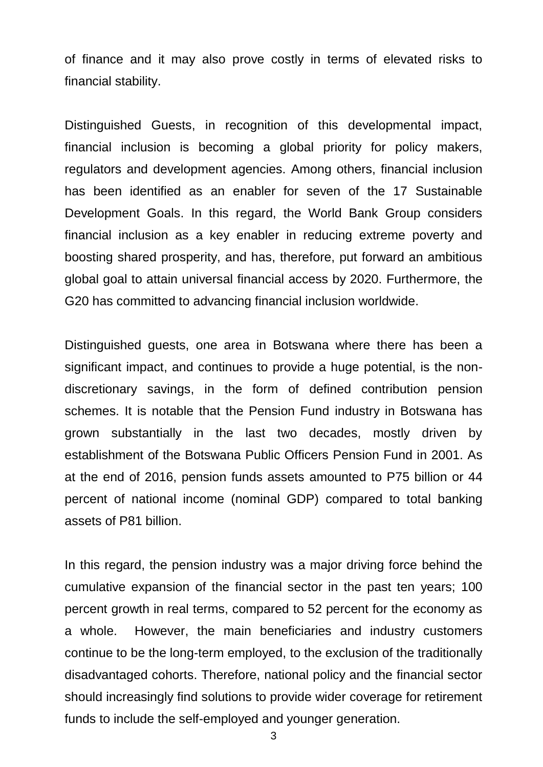of finance and it may also prove costly in terms of elevated risks to financial stability.

Distinguished Guests, in recognition of this developmental impact, financial inclusion is becoming a global priority for policy makers, regulators and development agencies. Among others, financial inclusion has been identified as an enabler for seven of the 17 Sustainable Development Goals. In this regard, the World Bank Group considers financial inclusion as a key enabler in reducing extreme poverty and boosting shared prosperity, and has, therefore, put forward an ambitious global goal to attain universal financial access by 2020. Furthermore, the G20 has committed to advancing financial inclusion worldwide.

Distinguished guests, one area in Botswana where there has been a significant impact, and continues to provide a huge potential, is the nondiscretionary savings, in the form of defined contribution pension schemes. It is notable that the Pension Fund industry in Botswana has grown substantially in the last two decades, mostly driven by establishment of the Botswana Public Officers Pension Fund in 2001. As at the end of 2016, pension funds assets amounted to P75 billion or 44 percent of national income (nominal GDP) compared to total banking assets of P81 billion.

In this regard, the pension industry was a major driving force behind the cumulative expansion of the financial sector in the past ten years; 100 percent growth in real terms, compared to 52 percent for the economy as a whole. However, the main beneficiaries and industry customers continue to be the long-term employed, to the exclusion of the traditionally disadvantaged cohorts. Therefore, national policy and the financial sector should increasingly find solutions to provide wider coverage for retirement funds to include the self-employed and younger generation.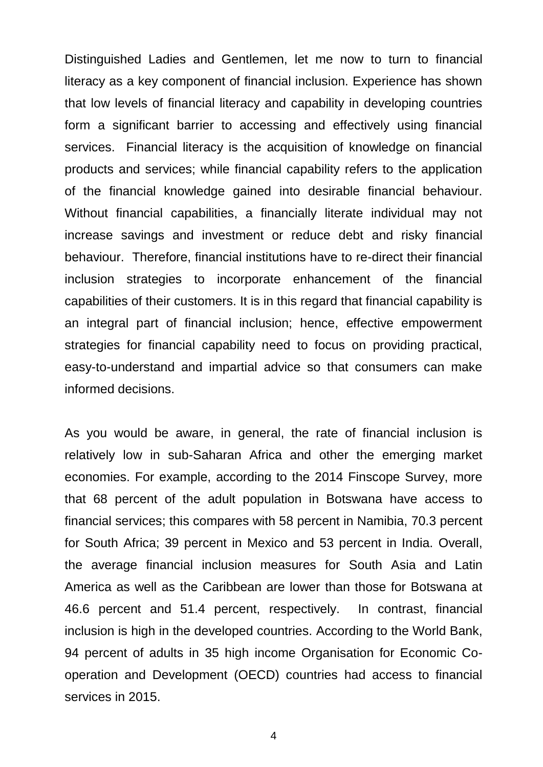Distinguished Ladies and Gentlemen, let me now to turn to financial literacy as a key component of financial inclusion. Experience has shown that low levels of financial literacy and capability in developing countries form a significant barrier to accessing and effectively using financial services. Financial literacy is the acquisition of knowledge on financial products and services; while financial capability refers to the application of the financial knowledge gained into desirable financial behaviour. Without financial capabilities, a financially literate individual may not increase savings and investment or reduce debt and risky financial behaviour. Therefore, financial institutions have to re-direct their financial inclusion strategies to incorporate enhancement of the financial capabilities of their customers. It is in this regard that financial capability is an integral part of financial inclusion; hence, effective empowerment strategies for financial capability need to focus on providing practical, easy-to-understand and impartial advice so that consumers can make informed decisions.

As you would be aware, in general, the rate of financial inclusion is relatively low in sub-Saharan Africa and other the emerging market economies. For example, according to the 2014 Finscope Survey, more that 68 percent of the adult population in Botswana have access to financial services; this compares with 58 percent in Namibia, 70.3 percent for South Africa; 39 percent in Mexico and 53 percent in India. Overall, the average financial inclusion measures for South Asia and Latin America as well as the Caribbean are lower than those for Botswana at 46.6 percent and 51.4 percent, respectively. In contrast, financial inclusion is high in the developed countries. According to the World Bank, 94 percent of adults in 35 high income Organisation for Economic Cooperation and Development (OECD) countries had access to financial services in 2015.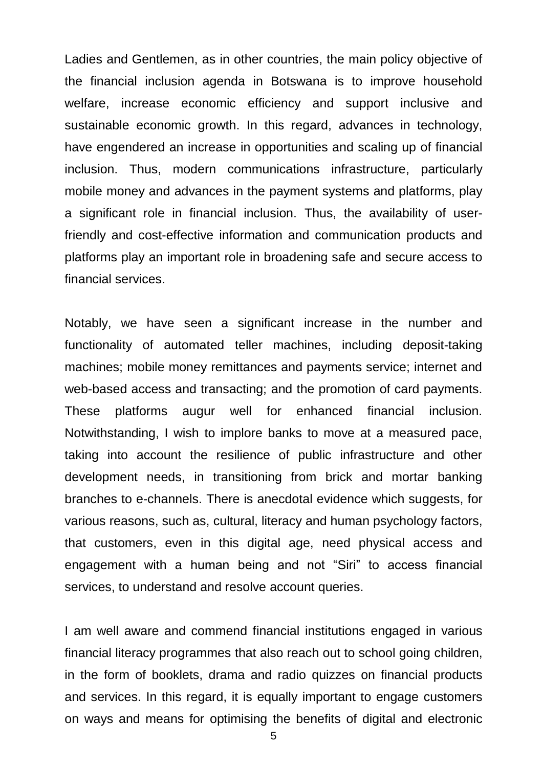Ladies and Gentlemen, as in other countries, the main policy objective of the financial inclusion agenda in Botswana is to improve household welfare, increase economic efficiency and support inclusive and sustainable economic growth. In this regard, advances in technology, have engendered an increase in opportunities and scaling up of financial inclusion. Thus, modern communications infrastructure, particularly mobile money and advances in the payment systems and platforms, play a significant role in financial inclusion. Thus, the availability of userfriendly and cost-effective information and communication products and platforms play an important role in broadening safe and secure access to financial services.

Notably, we have seen a significant increase in the number and functionality of automated teller machines, including deposit-taking machines; mobile money remittances and payments service; internet and web-based access and transacting; and the promotion of card payments. These platforms augur well for enhanced financial inclusion. Notwithstanding, I wish to implore banks to move at a measured pace, taking into account the resilience of public infrastructure and other development needs, in transitioning from brick and mortar banking branches to e-channels. There is anecdotal evidence which suggests, for various reasons, such as, cultural, literacy and human psychology factors, that customers, even in this digital age, need physical access and engagement with a human being and not "Siri" to access financial services, to understand and resolve account queries.

I am well aware and commend financial institutions engaged in various financial literacy programmes that also reach out to school going children, in the form of booklets, drama and radio quizzes on financial products and services. In this regard, it is equally important to engage customers on ways and means for optimising the benefits of digital and electronic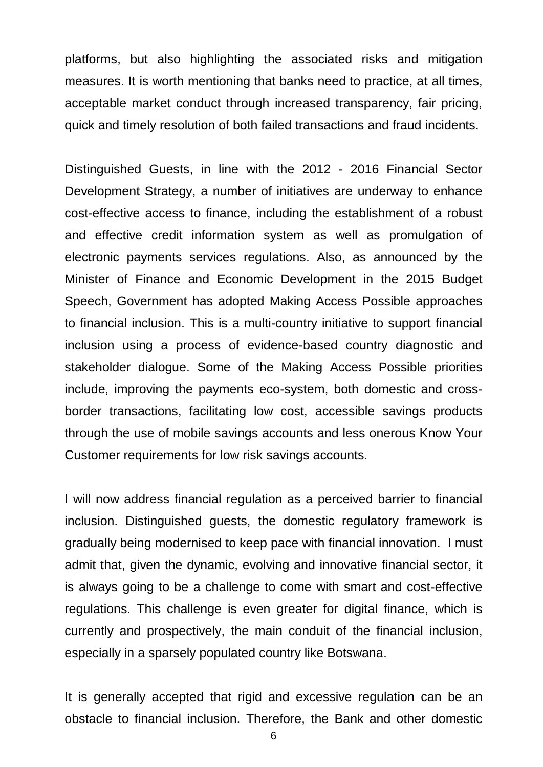platforms, but also highlighting the associated risks and mitigation measures. It is worth mentioning that banks need to practice, at all times, acceptable market conduct through increased transparency, fair pricing, quick and timely resolution of both failed transactions and fraud incidents.

Distinguished Guests, in line with the 2012 - 2016 Financial Sector Development Strategy, a number of initiatives are underway to enhance cost-effective access to finance, including the establishment of a robust and effective credit information system as well as promulgation of electronic payments services regulations. Also, as announced by the Minister of Finance and Economic Development in the 2015 Budget Speech, Government has adopted Making Access Possible approaches to financial inclusion. This is a multi-country initiative to support financial inclusion using a process of evidence-based country diagnostic and stakeholder dialogue. Some of the Making Access Possible priorities include, improving the payments eco-system, both domestic and crossborder transactions, facilitating low cost, accessible savings products through the use of mobile savings accounts and less onerous Know Your Customer requirements for low risk savings accounts.

I will now address financial regulation as a perceived barrier to financial inclusion. Distinguished guests, the domestic regulatory framework is gradually being modernised to keep pace with financial innovation. I must admit that, given the dynamic, evolving and innovative financial sector, it is always going to be a challenge to come with smart and cost-effective regulations. This challenge is even greater for digital finance, which is currently and prospectively, the main conduit of the financial inclusion, especially in a sparsely populated country like Botswana.

It is generally accepted that rigid and excessive regulation can be an obstacle to financial inclusion. Therefore, the Bank and other domestic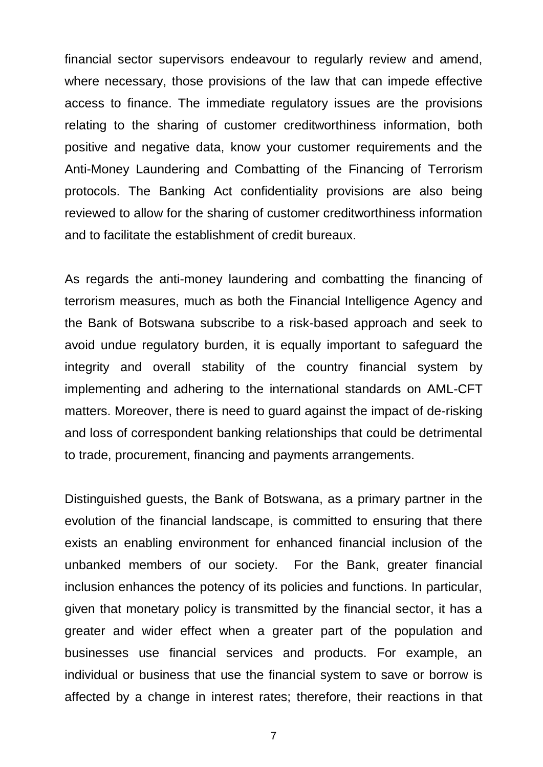financial sector supervisors endeavour to regularly review and amend, where necessary, those provisions of the law that can impede effective access to finance. The immediate regulatory issues are the provisions relating to the sharing of customer creditworthiness information, both positive and negative data, know your customer requirements and the Anti-Money Laundering and Combatting of the Financing of Terrorism protocols. The Banking Act confidentiality provisions are also being reviewed to allow for the sharing of customer creditworthiness information and to facilitate the establishment of credit bureaux.

As regards the anti-money laundering and combatting the financing of terrorism measures, much as both the Financial Intelligence Agency and the Bank of Botswana subscribe to a risk-based approach and seek to avoid undue regulatory burden, it is equally important to safeguard the integrity and overall stability of the country financial system by implementing and adhering to the international standards on AML-CFT matters. Moreover, there is need to guard against the impact of de-risking and loss of correspondent banking relationships that could be detrimental to trade, procurement, financing and payments arrangements.

Distinguished guests, the Bank of Botswana, as a primary partner in the evolution of the financial landscape, is committed to ensuring that there exists an enabling environment for enhanced financial inclusion of the unbanked members of our society. For the Bank, greater financial inclusion enhances the potency of its policies and functions. In particular, given that monetary policy is transmitted by the financial sector, it has a greater and wider effect when a greater part of the population and businesses use financial services and products. For example, an individual or business that use the financial system to save or borrow is affected by a change in interest rates; therefore, their reactions in that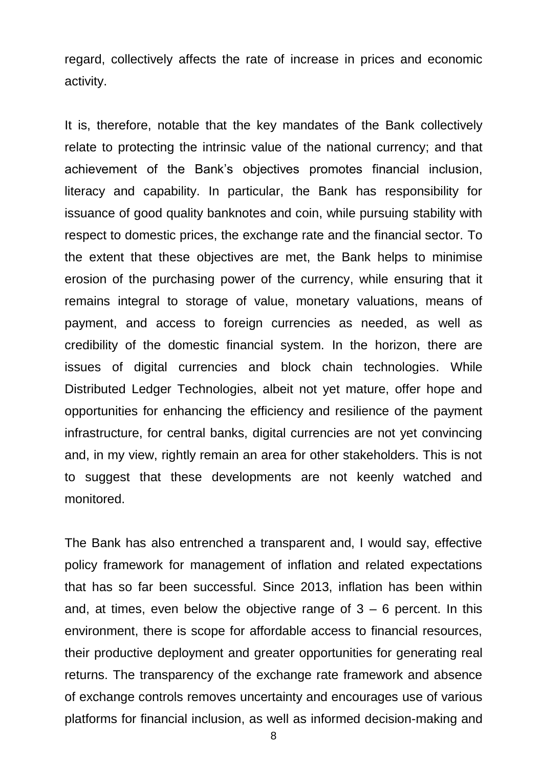regard, collectively affects the rate of increase in prices and economic activity.

It is, therefore, notable that the key mandates of the Bank collectively relate to protecting the intrinsic value of the national currency; and that achievement of the Bank's objectives promotes financial inclusion, literacy and capability. In particular, the Bank has responsibility for issuance of good quality banknotes and coin, while pursuing stability with respect to domestic prices, the exchange rate and the financial sector. To the extent that these objectives are met, the Bank helps to minimise erosion of the purchasing power of the currency, while ensuring that it remains integral to storage of value, monetary valuations, means of payment, and access to foreign currencies as needed, as well as credibility of the domestic financial system. In the horizon, there are issues of digital currencies and block chain technologies. While Distributed Ledger Technologies, albeit not yet mature, offer hope and opportunities for enhancing the efficiency and resilience of the payment infrastructure, for central banks, digital currencies are not yet convincing and, in my view, rightly remain an area for other stakeholders. This is not to suggest that these developments are not keenly watched and monitored.

The Bank has also entrenched a transparent and, I would say, effective policy framework for management of inflation and related expectations that has so far been successful. Since 2013, inflation has been within and, at times, even below the objective range of  $3 - 6$  percent. In this environment, there is scope for affordable access to financial resources, their productive deployment and greater opportunities for generating real returns. The transparency of the exchange rate framework and absence of exchange controls removes uncertainty and encourages use of various platforms for financial inclusion, as well as informed decision-making and